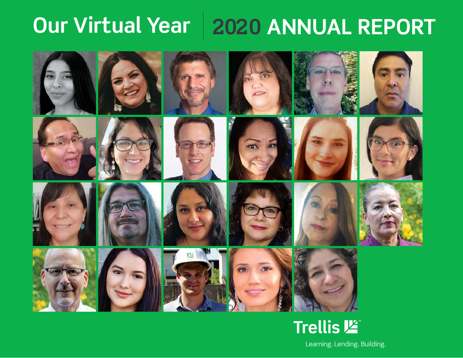# **2020 ANNUAL REPORT Our Virtual Year**





























# **Trellis 坚**

Learning. Lending. Building.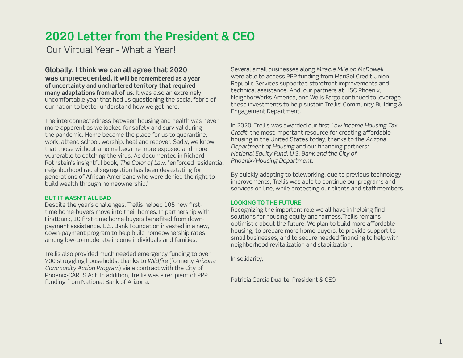# **2020 Letter from the President & CEO**

Our Virtual Year - What a Year!

**Globally, I think we can all agree that 2020 was unprecedented. It will be remembered as a year of uncertainty and unchartered territory that required many adaptations from all of us**. It was also an extremely uncomfortable year that had us questioning the social fabric of our nation to better understand how we got here.

The interconnectedness between housing and health was never more apparent as we looked for safety and survival during the pandemic. Home became the place for us to quarantine, work, attend school, worship, heal and recover. Sadly, we know that those without a home became more exposed and more vulnerable to catching the virus. As documented in Richard Rothstein's insightful book, *The Color of Law*, "enforced residential neighborhood racial segregation has been devastating for generations of African Americans who were denied the right to build wealth through homeownership."

#### **BUT IT WASN'T ALL BAD**

Despite the year's challenges, Trellis helped 105 new firsttime home-buyers move into their homes. In partnership with FirstBank, 10 first-time home-buyers benefited from downpayment assistance. U.S. Bank Foundation invested in a new, down-payment program to help build homeownership rates among low-to-moderate income individuals and families.

Trellis also provided much needed emergency funding to over 700 struggling households, thanks to *Wildfi re* (formerly *Arizona Community Action Program*) via a contract with the City of Phoenix-CARES Act. In addition, Trellis was a recipient of PPP funding from National Bank of Arizona.

Several small businesses along *Miracle Mile on McDowell* were able to access PPP funding from MariSol Credit Union. Republic Services supported storefront improvements and technical assistance. And, our partners at LISC Phoenix, NeighborWorks America, and Wells Fargo continued to leverage these investments to help sustain Trellis' Community Building & Engagement Department.

In 2020, Trellis was awarded our first *Low Income Housing Tax Credit*, the most important resource for creating affordable housing in the United States today, thanks to the *Arizona Department of Housing and our financing partners: National Equity Fund, U.S. Bank and the City of Phoenix/Housing Department*.

By quickly adapting to teleworking, due to previous technology improvements, Trellis was able to continue our programs and services on line, while protecting our clients and staff members.

#### **LOOKING TO THE FUTURE**

Recognizing the important role we all have in helping find solutions for housing equity and fairness,Trellis remains optimistic about the future. We plan to build more affordable housing, to prepare more home-buyers, to provide support to small businesses, and to secure needed financing to help with neighborhood revitalization and stabilization.

In solidarity,

Patricia Garcia Duarte, President & CEO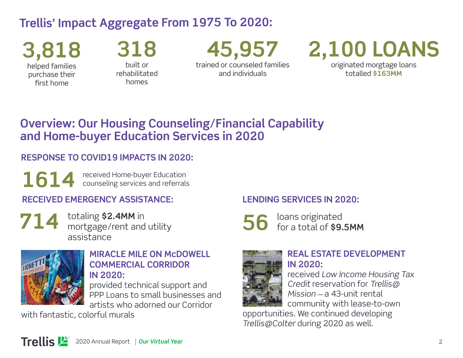# **Trellis' Impact Aggregate From 1975 To 2020:**

**3,818** helped families purchase their first home

**318** built or rehabilitated homes

**45,957** trained or counseled families and individuals

# **2,100 LOANS**

originated morgtage loans totalled **\$163MM**

# **Overview: Our Housing Counseling/Financial Capability and Home-buyer Education Services in 2020**

### **RESPONSE TO COVID19 IMPACTS IN 2020:**

1614 received Home-buyer Education<br> **1614** counseling services and referrals

### **RECEIVED EMERGENCY ASSISTANCE:**



totaling **\$2.4MM** in mortgage/rent and utility assistance



#### **MIRACLE MILE ON McDOWELL COMMERCIAL CORRIDOR IN 2020:**

provided technical support and PPP Loans to small businesses and artists who adorned our Corridor

with fantastic, colorful murals

#### **LENDING SERVICES IN 2020:**

loans originated for a total of **\$9.5MM 56**



#### **REAL ESTATE DEVELOPMENT IN 2020:**

received *Low Income Housing Tax Credit* reservation for *Trellis@ Mission* — a 43-unit rental community with lease-to-own

opportunities. We continued developing *Trellis@Colter* during 2020 as well.

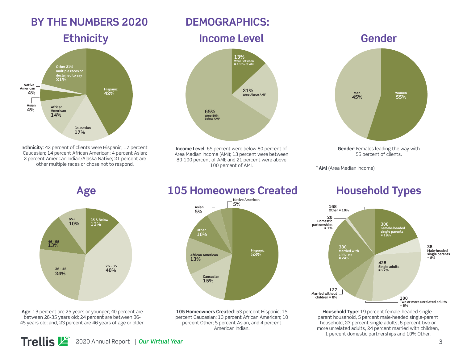### **BY THE NUMBERS 2020 DEMOGRAPHICS:**



**Ethnicity**: 42 percent of clients were Hispanic; 17 percent Caucasian; 14 percent African American; 4 percent Asian; 2 percent American Indian/Alaska Native; 21 percent are other multiple races or chose not to respond.



**Income Level**: 65 percent were below 80 percent of Area Median Income (AMI); 13 percent were between 80-100 percent of AMI; and 21 percent were above 100 percent of AMI.



\*1**AMI** (Area Median Income)



**Age**: 13 percent are 25 years or younger; 40 percent are between 26-35 years old; 24 percent are between 36- 45 years old; and, 23 percent are 46 years of age or older.

### **Age 105 Homeowners Created Household Types**



**105 Homeowners Created**: 53 percent Hispanic; 15 percent Caucasian; 13 percent African American; 10 percent Other; 5 percent Asian, and 4 percent American Indian.



**Household Type**: 19 percent female-headed singleparent household, 5 percent male-headed single-parent household, 27 percent single adults, 6 percent two or more unrelated adults, 24 percent married with children, 1 percent domestic partnerships and 10% Other.

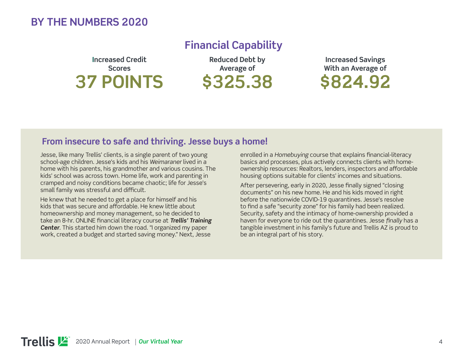#### **BY THE NUMBERS 2020**

**Financial Capability**

**Increased Credit Scores 37 POINTS**

**Reduced Debt by Average of \$325.38**

**Increased Savings With an Average of \$824.92**

#### **From insecure to safe and thriving. Jesse buys a home!**

Jesse, like many Trellis' clients, is a single parent of two young school-age children. Jesse's kids and his *Weimaraner* lived in a home with his parents, his grandmother and various cousins. The kids' school was across town. Home life, work and parenting in cramped and noisy conditions became chaotic; life for Jesse's small family was stressful and difficult.

He knew that he needed to get a place for himself and his kids that was secure and affordable. He knew little about homeownership and money management, so he decided to take an 8-hr. ONLINE financial literacy course at **Trellis' Training** *Center*. This started him down the road. "I organized my paper work, created a budget and started saving money." Next, Jesse

enrolled in a *Homebuying* course that explains financial-literacy basics and processes, plus actively connects clients with homeownership resources: Realtors, lenders, inspectors and affordable housing options suitable for clients' incomes and situations.

After persevering, early in 2020, Jesse finally signed "closing documents" on his new home. He and his kids moved in right before the nationwide COVID-19 quarantines. Jesse's resolve to find a safe "security zone" for his family had been realized. Security, safety and the intimacy of home-ownership provided a haven for everyone to ride out the quarantines. Jesse *finally* has a tangible investment in his family's future and Trellis AZ is proud to be an integral part of his story.

**Trellis 坚** 2020 Annual Report *Our Virtual Year*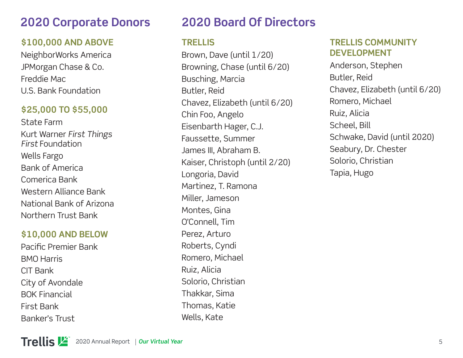# **2020 Corporate Donors**

#### **\$100,000 AND ABOVE**

NeighborWorks America JPMorgan Chase & Co. Freddie Mac U.S. Bank Foundation

#### **\$25,000 TO \$55,000**

State Farm Kurt Warner *First Things First* Foundation Wells Fargo Bank of America Comerica Bank Western Alliance Bank National Bank of Arizona Northern Trust Bank

#### **\$10,000 AND BELOW**

Pacific Premier Bank BMO Harris CIT Bank City of Avondale BOK Financial First Bank Banker's Trust

# **2020 Board Of Directors**

#### **TRELLIS**

Brown, Dave (until 1/20) Browning, Chase (until 6/20) Busching, Marcia Butler, Reid Chavez, Elizabeth (until 6/20) Chin Foo, Angelo Eisenbarth Hager, C.J. Faussette, Summer James III, Abraham B. Kaiser, Christoph (until 2/20) Longoria, David Martinez, T. Ramona Miller, Jameson Montes, Gina O'Connell, Tim Perez, Arturo Roberts, Cyndi Romero, Michael Ruiz, Alicia Solorio, Christian Thakkar, Sima Thomas, Katie Wells, Kate

#### **TRELLIS COMMUNITY DEVELOPMENT**

Anderson, Stephen Butler, Reid Chavez, Elizabeth (until 6/20) Romero, Michael Ruiz, Alicia Scheel, Bill Schwake, David (until 2020) Seabury, Dr. Chester Solorio, Christian Tapia, Hugo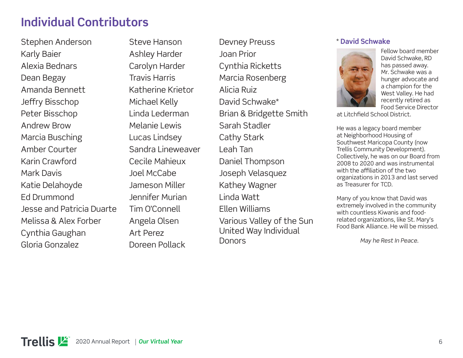# **Individual Contributors**

Stephen Anderson Karly Baier Alexia Bednars Dean Begay Amanda Bennett Jeffry Bisschop Peter Bisschop Andrew Brow Marcia Busching Amber Courter Karin Crawford Mark Davis Katie Delahoyde Ed Drummond Jesse and Patricia Duarte Melissa & Alex Forber Cynthia Gaughan Gloria Gonzalez

Steve Hanson Ashley Harder Carolyn Harder Travis Harris Katherine Krietor Michael Kelly Linda Lederman Melanie Lewis Lucas Lindsey Sandra Lineweaver Cecile Mahieux Joel McCabe Jameson Miller Jennifer Murian Tim O'Connell Angela Olsen Art Perez Doreen Pollack

Devney Preuss Joan Prior Cynthia Ricketts Marcia Rosenberg Alicia Ruiz David Schwake\* Brian & Bridgette Smith Sarah Stadler Cathy Stark Leah Tan Daniel Thompson Joseph Velasquez Kathey Wagner Linda Watt Ellen Williams Various Valley of the Sun United Way Individual **Donors** 

#### \* **David Schwake**



Fellow board member David Schwake, RD has passed away. Mr. Schwake was a hunger advocate and a champion for the West Valley. He had recently retired as Food Service Director

at Litchfield School District.

He was a legacy board member at Neighborhood Housing of Southwest Maricopa County (now Trellis Community Development). Collectively, he was on our Board from 2008 to 2020 and was instrumental with the affiliation of the two organizations in 2013 and last served as Treasurer for TCD.

Many of you know that David was extremely involved in the community with countless Kiwanis and foodrelated organizations, like St. Mary's Food Bank Alliance. He will be missed.

*May he Rest In Peace.*

Trellis **凶** 2020 Annual Report *Our Virtual Year*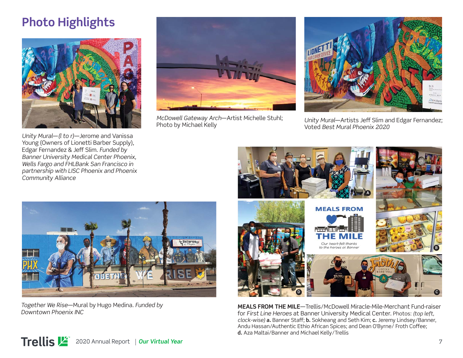# **Photo Highlights**



*Unity Mural-(I to r)-Jerome and Vanissa* Young (Owners of Lionetti Barber Supply), Edgar Fernandez & Jeff Slim. *Funded by Banner University Medical Center Phoenix, Wells Fargo and FHLBank San Francisco in partnership with LISC Phoenix and Phoenix Community Alliance*



*McDowell Gateway Arch*—Artist Michelle Stuhl; Photo by Michael Kelly



*Unity Mural*—Artists Jeff Slim and Edgar Fernandez; Voted *Best Mural Phoenix 2020*



*Together We Rise*—Mural by Hugo Medina. *Funded by Downtown Phoenix INC*



**MEALS FROM THE MILE**—Trellis/McDowell Miracle-Mile-Merchant Fund-raiser for *First Line Heroes* at Banner University Medical Center. Photos: *(top left, clock-wise)* **a.** Banner Staff ; **b.** Sokheang and Seth Kim; **c.** Jeremy Lindsey/Banner, Andu Hassan/Authentic Ethio African Spices; and Dean O'Byrne/ Froth Coffee; **d.** Aza Maltai/Banner and Michael Kelly/Trellis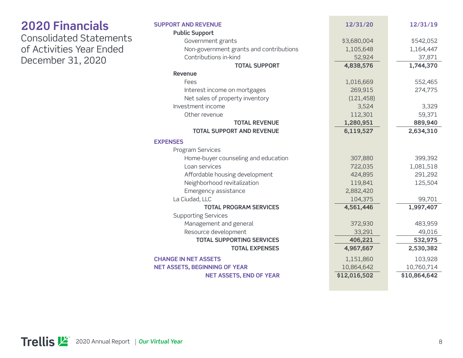| <b>2020 Financials</b>                        | <b>SUPPORT AND REVENUE</b>              | 12/31/20    | 12/31/19   |
|-----------------------------------------------|-----------------------------------------|-------------|------------|
| <b>Consolidated Statements</b>                | <b>Public Support</b>                   |             |            |
| of Activities Year Ended<br>December 31, 2020 | Government grants                       | \$3,680,004 | \$542,052  |
|                                               | Non-government grants and contributions | 1,105,648   | 1,164,447  |
|                                               | Contributions in-kind                   | 52,924      | 37,871     |
|                                               | <b>TOTAL SUPPORT</b>                    | 4,838,576   | 1,744,370  |
|                                               | <b>Revenue</b>                          |             |            |
|                                               | Fees                                    | 1,016,669   | 552,465    |
|                                               | Interest income on mortgages            | 269,915     | 274,775    |
|                                               | Net sales of property inventory         | (121, 458)  |            |
|                                               | Investment income                       | 3,524       | 3,329      |
|                                               | Other revenue                           | 112,301     | 59,371     |
|                                               | <b>TOTAL REVENUE</b>                    | 1,280,951   | 889,940    |
|                                               | <b>TOTAL SUPPORT AND REVENUE</b>        | 6,119,527   | 2,634,310  |
|                                               | <b>EXPENSES</b>                         |             |            |
|                                               | Program Services                        |             |            |
|                                               | Home-buyer counseling and education     | 307,880     | 399,392    |
|                                               | Loan services                           | 722,035     | 1,081,518  |
|                                               | Affordable housing development          | 424,895     | 291,292    |
|                                               | Neighborhood revitalization             | 119,841     | 125,504    |
|                                               | Emergency assistance                    | 2,882,420   |            |
|                                               | La Ciudad, LLC                          | 104,375     | 99,701     |
|                                               | <b>TOTAL PROGRAM SERVICES</b>           | 4,561,446   | 1,997,407  |
|                                               | <b>Supporting Services</b>              |             |            |
|                                               | Management and general                  | 372,930     | 483,959    |
|                                               | Resource development                    | 33,291      | 49,016     |
|                                               | <b>TOTAL SUPPORTING SERVICES</b>        | 406,221     | 532,975    |
|                                               | <b>TOTAL EXPENSES</b>                   | 4,967,667   | 2,530,382  |
|                                               | <b>CHANGE IN NET ASSETS</b>             | 1,151,860   | 103,928    |
|                                               | <b>NET ASSETS, BEGINNING OF YEAR</b>    | 10,864,642  | 10,760,714 |

**NET ASSETS, END OF YEAR \$12,016,502** \$10,864,642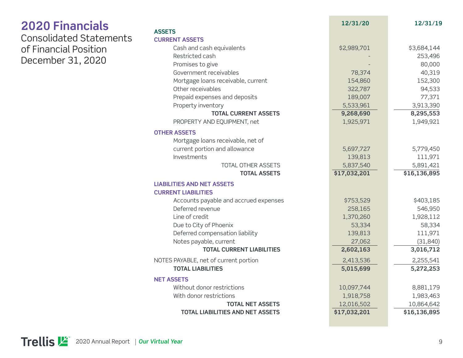| <b>2020 Financials</b>                                                       |                                         | 12/31/20     | 12/31/19     |
|------------------------------------------------------------------------------|-----------------------------------------|--------------|--------------|
| <b>Consolidated Statements</b><br>of Financial Position<br>December 31, 2020 | <b>ASSETS</b>                           |              |              |
|                                                                              | <b>CURRENT ASSETS</b>                   |              |              |
|                                                                              | Cash and cash equivalents               | \$2,989,701  | \$3,684,144  |
|                                                                              | Restricted cash                         |              | 253,496      |
|                                                                              | Promises to give                        |              | 80,000       |
|                                                                              | Government receivables                  | 78,374       | 40,319       |
|                                                                              | Mortgage loans receivable, current      | 154,860      | 152,300      |
|                                                                              | Other receivables                       | 322,787      | 94,533       |
|                                                                              | Prepaid expenses and deposits           | 189,007      | 77,371       |
|                                                                              | Property inventory                      | 5,533,961    | 3,913,390    |
|                                                                              | <b>TOTAL CURRENT ASSETS</b>             | 9,268,690    | 8,295,553    |
|                                                                              | PROPERTY AND EQUIPMENT, net             | 1,925,971    | 1,949,921    |
|                                                                              | <b>OTHER ASSETS</b>                     |              |              |
|                                                                              | Mortgage loans receivable, net of       |              |              |
|                                                                              | current portion and allowance           | 5,697,727    | 5,779,450    |
|                                                                              | Investments                             | 139,813      | 111,971      |
|                                                                              | TOTAL OTHER ASSETS                      | 5,837,540    | 5,891,421    |
|                                                                              | <b>TOTAL ASSETS</b>                     | \$17,032,201 | \$16,136,895 |
|                                                                              | <b>LIABILITIES AND NET ASSETS</b>       |              |              |
|                                                                              | <b>CURRENT LIABILITIES</b>              |              |              |
|                                                                              | Accounts payable and accrued expenses   | \$753,529    | \$403,185    |
|                                                                              | Deferred revenue                        | 258,165      | 546,950      |
|                                                                              | Line of credit                          | 1,370,260    | 1,928,112    |
|                                                                              | Due to City of Phoenix                  | 53,334       | 58,334       |
|                                                                              | Deferred compensation liability         | 139,813      | 111,971      |
|                                                                              | Notes payable, current                  | 27,062       | (31, 840)    |
|                                                                              | <b>TOTAL CURRENT LIABILITIES</b>        | 2,602,163    | 3,016,712    |
|                                                                              | NOTES PAYABLE, net of current portion   | 2,413,536    | 2,255,541    |
|                                                                              | <b>TOTAL LIABILITIES</b>                | 5,015,699    | 5,272,253    |
|                                                                              | <b>NET ASSETS</b>                       |              |              |
|                                                                              | Without donor restrictions              | 10,097,744   | 8,881,179    |
|                                                                              | With donor restrictions                 | 1,918,758    | 1,983,463    |
|                                                                              | <b>TOTAL NET ASSETS</b>                 | 12,016,502   | 10,864,642   |
|                                                                              | <b>TOTAL LIABILITIES AND NET ASSETS</b> | \$17,032,201 | \$16,136,895 |

**Contract**